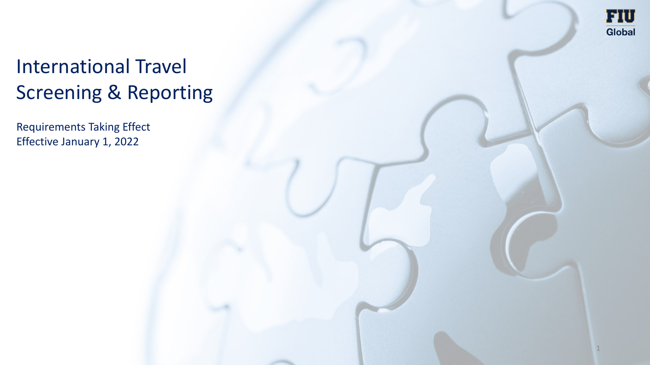

1

# International Travel Screening & Reporting

Requirements Taking Effect Effective January 1, 2022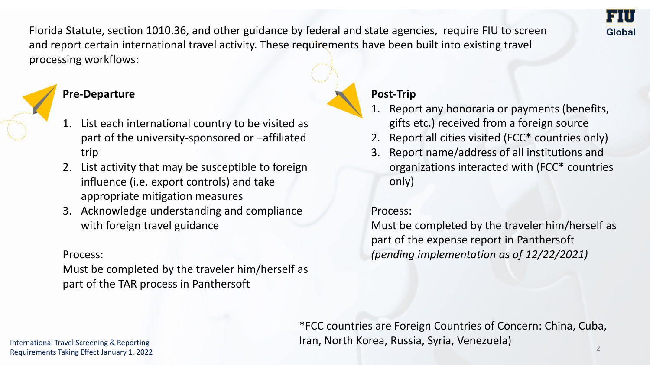Florida Statute, section 1010.36, and other guidance by federal and state agencies, require FIU to screen and report certain international travel activity. These requirements have been built into existing travel processing workflows:

# **Pre-Departure**

- 1. List each international country to be visited as part of the university-sponsored or –affiliated trip
- 2. List activity that may be susceptible to foreign influence (i.e. export controls) and take appropriate mitigation measures
- 3. Acknowledge understanding and compliance with foreign travel guidance

### Process:

Must be completed by the traveler him/herself as part of the TAR process in Panthersoft

# **Post-Trip**

- 1. Report any honoraria or payments (benefits, gifts etc.) received from a foreign source
- 2. Report all cities visited (FCC\* countries only)
- 3. Report name/address of all institutions and organizations interacted with (FCC\* countries only)

### Process:

Must be completed by the traveler him/herself as part of the expense report in Panthersoft *(pending implementation as of 12/22/2021)* 

\*FCC countries are Foreign Countries of Concern: China, Cuba, Iran, North Korea, Russia, Syria, Venezuela)

Global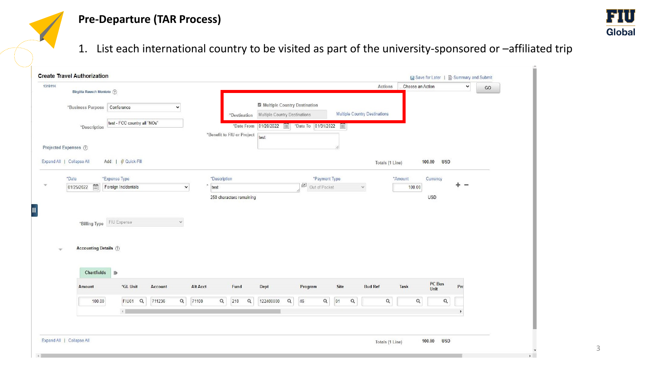# **Pre-Departure (TAR Process)**



1. List each international country to be visited as part of the university-sponsored or –affiliated trip

| Birgitta Rausch Montoto (?)             |                                     |              |                            |                               |                                         |                               | Actions                | Choose an Action | $\check{ }$ | GO |
|-----------------------------------------|-------------------------------------|--------------|----------------------------|-------------------------------|-----------------------------------------|-------------------------------|------------------------|------------------|-------------|----|
|                                         |                                     |              |                            | Multiple Country Destination  |                                         |                               |                        |                  |             |    |
| *Business Purpose Conference            |                                     | $\checkmark$ | *Destination               | Multiple Country Destinations |                                         | Multiple Country Destinations |                        |                  |             |    |
| *Description                            | test - FCC country all "NOs"        |              | *Date From                 |                               | 01/20/2022 ::: 5 *Date To 01/31/2022 :: |                               |                        |                  |             |    |
|                                         |                                     |              | *Benefit to FIU or Project | test                          |                                         |                               |                        |                  |             |    |
| Projected Expenses (?)                  |                                     |              |                            |                               |                                         |                               |                        |                  |             |    |
| Expand All   Collapse All               | Add:   ∯ Quick-Fill                 |              |                            |                               |                                         |                               | Totals (1 Line)        | 100.00           | <b>USD</b>  |    |
| *Date                                   | *Expense Type                       |              | *Description               |                               | *Payment Type                           |                               | *Amount                | Currency         |             |    |
| $\overline{\Xi}$<br>01/25/2022          | Foreign Incidentals                 | $\checkmark$ | test                       |                               | $\mathbb{R}$<br>Out of Pocket           | $\checkmark$                  |                        | 100.00           | ÷           |    |
|                                         |                                     |              |                            |                               |                                         |                               |                        |                  |             |    |
| *Billing Type<br>Accounting Details (?) | FIU Expense                         | $\checkmark$ |                            |                               |                                         |                               |                        |                  |             |    |
| Chartfields                             | $\parallel$                         |              |                            |                               |                                         |                               |                        |                  |             |    |
| Amount                                  | *GL Unit<br>Account                 |              | Alt Acct<br>Fund           | Dept                          | Program                                 | Site                          | <b>Bud Ref</b><br>Task | PC Bus<br>Unit   | Prc         |    |
| 100.00                                  | FIU01 <sub>Q</sub><br>711236<br>4.1 | Q<br>71100   | Q<br>210                   | Q<br>122400000                | $\alpha$<br>Q<br>46                     | 01<br>$\alpha$                | $\mathsf Q$            | Q                | Q           |    |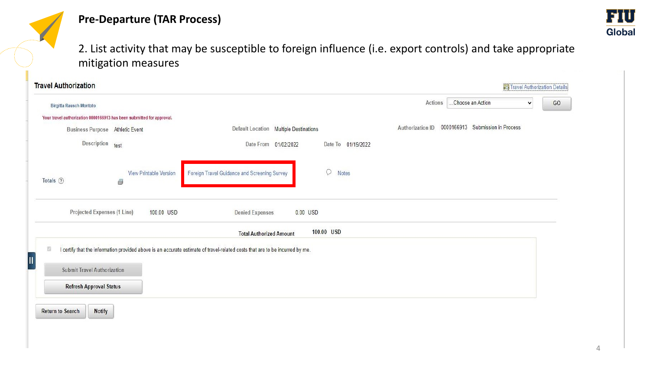



2. List activity that may be susceptible to foreign influence (i.e. export controls) and take appropriate mitigation measures

| <b>Travel Authorization</b>                                           |                                    |                                                                                                                              |                                                      | <b>Fo</b> Travel Authorization Details |    |
|-----------------------------------------------------------------------|------------------------------------|------------------------------------------------------------------------------------------------------------------------------|------------------------------------------------------|----------------------------------------|----|
| Birgitta Rausch Montoto                                               |                                    |                                                                                                                              | Choose an Action<br>Actions                          | $\checkmark$                           | GO |
| Your travel authorization 0000166913 has been submitted for approval. |                                    |                                                                                                                              |                                                      |                                        |    |
| Business Purpose Athletic Event                                       |                                    | Default Location Multiple Destinations                                                                                       | 0000166913 Submission in Process<br>Authorization ID |                                        |    |
| Description                                                           | test                               | Date From 01/02/2022<br>Date To 01/19/2022                                                                                   |                                                      |                                        |    |
| Totals ②                                                              | <b>View Printable Version</b><br>6 | Q<br>Foreign Travel Guidance and Screening Survey<br>Notes                                                                   |                                                      |                                        |    |
| <b>Projected Expenses (1 Line)</b>                                    | 100.00 USD                         | 0.00 USD<br><b>Denied Expenses</b>                                                                                           |                                                      |                                        |    |
|                                                                       |                                    | 100.00 USD<br><b>Total Authorized Amount</b>                                                                                 |                                                      |                                        |    |
| 昭                                                                     |                                    | I certify that the information provided above is an accurate estimate of travel-related costs that are to be incurred by me. |                                                      |                                        |    |
|                                                                       |                                    |                                                                                                                              |                                                      |                                        |    |
| <b>Submit Travel Authorization</b>                                    |                                    |                                                                                                                              |                                                      |                                        |    |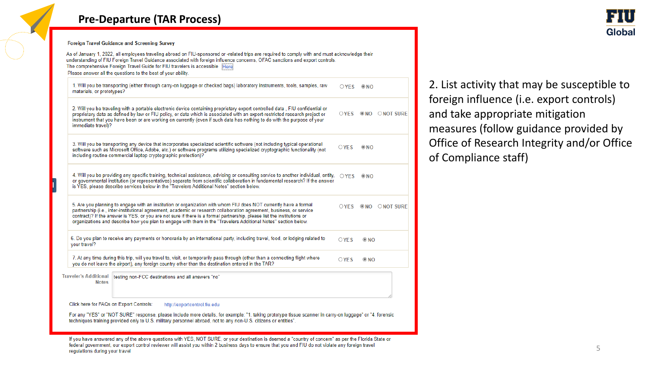## **Pre-Departure (TAR Process)**



**Foreign Travel Guidance and Screening Survey** 

As of January 1, 2022, all employees traveling abroad on FIU-sponsored or -related trips are required to comply with and must acknowledge their understanding of FIU Foreign Travel Guidance associated with foreign influence concerns, OFAC sanctions and export controls. The comprehensive Foreign Travel Guide for FIU travelers is accessible Here Please answer all the questions to the best of your ability.

1. Will you be transporting (either through carry-on luggage or checked bags) laboratory instruments, tools, samples, raw  $OYFS = QNO$ materials, or prototypes?

2. Will you be traveling with a portable electronic device containing proprietary export controlled data, FIU confidential or OYES ONO ONOT SURE proprietary data as defined by law or FIU policy, or data which is associated with an export-restricted research project or instrument that you have been or are working on currently (even if such data has nothing to do with the purpose of your immediate travel)?

3. Will you be transporting any device that incorporates specialized scientific software (not including typical operational  $OYES$   $@NO$ software such as Microsoft Office, Adobe, etc.) or software programs utilizing specialized cryptographic functionality (not including routine commercial laptop cryptographic protection)?

4. Will you be providing any specific training, technical assistance, advising or consulting service to another individual, entity,  $OYFS$   $@NO$ or governmental institution (or representatives) separate from scientific collaboration in fundamental research? If the answer is YES, please describe services below in the "Travelers Additional Notes" section below.

5. Are you planning to engage with an institution or organization with whom FIU does NOT currently have a formal OYES ONO ONOT SURE partnership (i.e., inter-institutional agreement, academic or research collaboration agreement, business, or service contract)? If the answer is YES, or you are not sure if there is a formal partnership, please list the institutions or organizations and describe how you plan to engage with them in the "Travelers Additional Notes" section below.

6. Do you plan to receive any payments or honoraria by an international party, including travel, food, or lodging related to  $OYES$  $\odot$  NO your travel?

7. At any time during this trip, will you travel to, visit, or temporarily pass through (other than a connecting flight where  $\bigcirc$  YES  $\odot$  NO you do not leave the airport), any foreign country other than the destination entered in the TAR?

Traveler's Additional testing non-FCC destinations and all answers "no" **Notes** 

Click here for FAQs on Export Controls: http://exportcontrol.fiu.edu

For any "YES" or "NOT SURE" response, please include more details, for example: "1, taking prototype tissue scanner in carry-on luggage" or "4, forensic techniques training provided only to U.S. military personnel abroad, not to any non-U.S. citizens or entities".

If you have answered any of the above questions with YES, NOT SURE, or your destination is deemed a "country of concern" as per the Florida State or federal government, our export control reviewer will assist you within 2 business days to ensure that you and FIU do not violate any foreign travel regulations during your travel

2. List activity that may be susceptible to foreign influence (i.e. export controls) and take appropriate mitigation measures (follow guidance provided by Office of Research Integrity and/or Office of Compliance staff)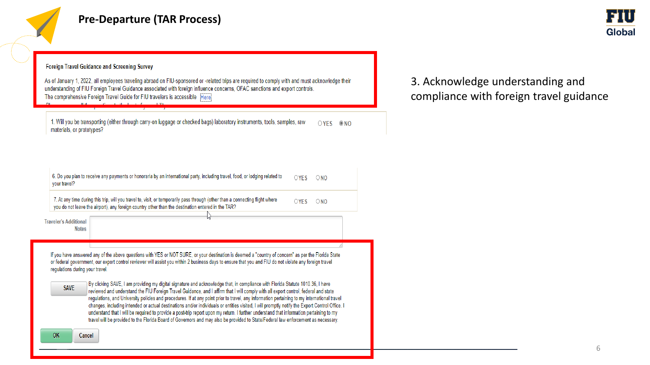

#### Foreign Travel Guidance and Screening Survey

As of January 1, 2022, all employees traveling abroad on FIU-sponsored or -related trips are required to comply with and must acknowledge their understanding of FIU Foreign Travel Guidance associated with foreign influence concerns, OFAC sanctions and export controls. The comprehensive Foreign Travel Guide for FIU travelers is accessible Herei

1. Will you be transporting (either through carry-on luggage or checked bags) laboratory instruments, tools, samples, raw OYES ONO materials, or prototypes?

| 6. Do you plan to receive any payments or honoraria by an international party, including travel, food, or lodging related to<br>your travel? | $\bigcirc$ YFS | $\bigcirc$ NO |
|----------------------------------------------------------------------------------------------------------------------------------------------|----------------|---------------|
|                                                                                                                                              |                |               |

7. At any time during this trip, will you travel to, visit, or temporarily pass through (other than a connecting flight where  $OYES$   $ONO$ you do not leave the airport), any foreign country other than the destination entered in the TAR?

**Traveler's Additional Notes** 

> If you have answered any of the above questions with YES or NOT SURE, or your destination is deemed a "country of concern" as per the Florida State or federal government, our export control reviewer will assist you within 2 business days to ensure that you and FIU do not violate any foreign travel regulations during your travel.

| <b>SAVE</b> | By clicking SAVE, I am providing my digital signature and acknowledge that, in compliance with Florida Statute 1010.36, I have                 |
|-------------|------------------------------------------------------------------------------------------------------------------------------------------------|
|             | reviewed and understand the FIU Foreign Travel Guidance, and I affirm that I will comply with all export control, federal and state            |
|             | regulations, and University policies and procedures. If at any point prior to travel, any information pertaining to my international travel    |
|             | changes, including intended or actual destinations and/or individuals or entities visited, I will promptly notify the Export Control Office. I |
|             | understand that I will be required to provide a post-trip report upon my return. I further understand that information pertaining to my        |
|             | travel will be provided to the Florida Board of Governors and may also be provided to State/Federal law enforcement as necessary.              |

3. Acknowledge understanding and compliance with foreign travel guidance

**OK** 

Global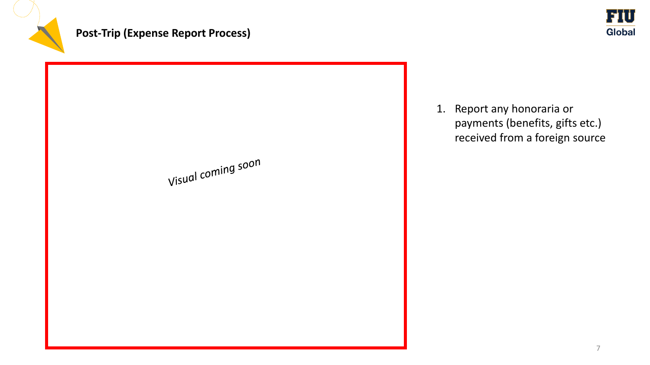





1. Report any honoraria or payments (benefits, gifts etc.) received from a foreign source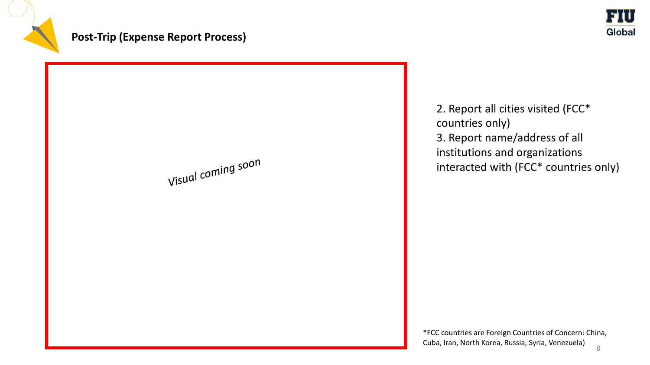

# **Post-Trip (Expense Report Process)**



2. Report all cities visited (FCC\* countries only) 3. Report name/address of all institutions and organizations interacted with (FCC\* countries only)

8 \*FCC countries are Foreign Countries of Concern: China, Cuba, Iran, North Korea, Russia, Syria, Venezuela)